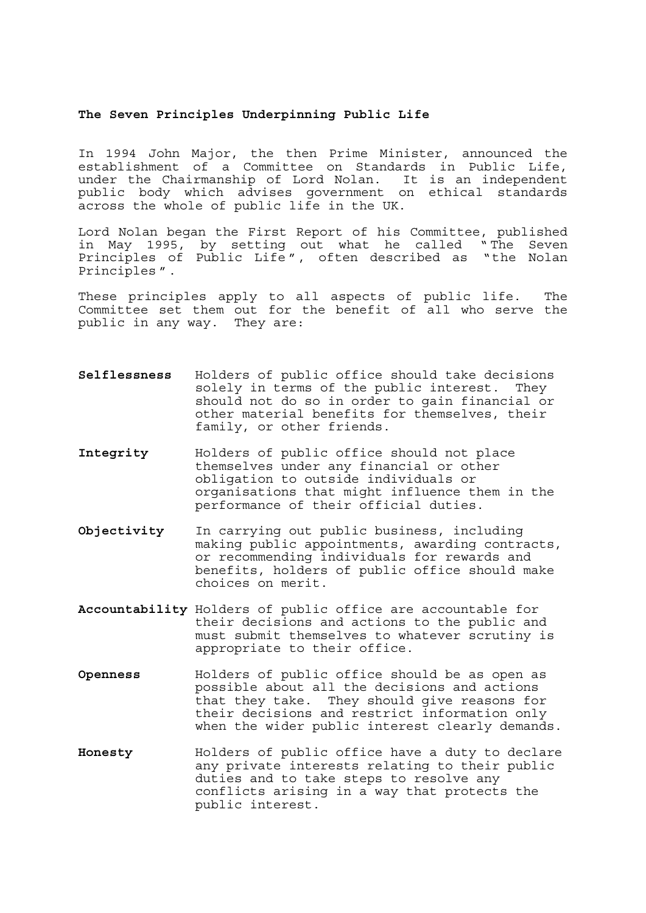## **The Seven Principles Underpinning Public Life**

In 1994 John Major, the then Prime Minister, announced the establishment of a Committee on Standards in Public Life, under the Chairmanship of Lord Nolan. It is an independent public body which advises government on ethical standards across the whole of public life in the UK.

Lord Nolan began the First Report of his Committee, published in May 1995, by setting out what he called " The Seven Principles of Public Life ", often described as "the Nolan Principles ".

These principles apply to all aspects of public life. The Committee set them out for the benefit of all who serve the public in any way. They are:

- **Selflessness** Holders of public office should take decisions solely in terms of the public interest. They should not do so in order to gain financial or other material benefits for themselves, their family, or other friends.
- **Integrity** Holders of public office should not place themselves under any financial or other obligation to outside individuals or organisations that might influence them in the performance of their official duties.
- **Objectivity** In carrying out public business, including making public appointments, awarding contracts, or recommending individuals for rewards and benefits, holders of public office should make choices on merit.
- **Accountability** Holders of public office are accountable for their decisions and actions to the public and must submit themselves to whatever scrutiny is appropriate to their office.
- **Openness** Holders of public office should be as open as possible about all the decisions and actions that they take. They should give reasons for their decisions and restrict information only when the wider public interest clearly demands.
- **Honesty** Holders of public office have a duty to declare any private interests relating to their public duties and to take steps to resolve any conflicts arising in a way that protects the public interest.